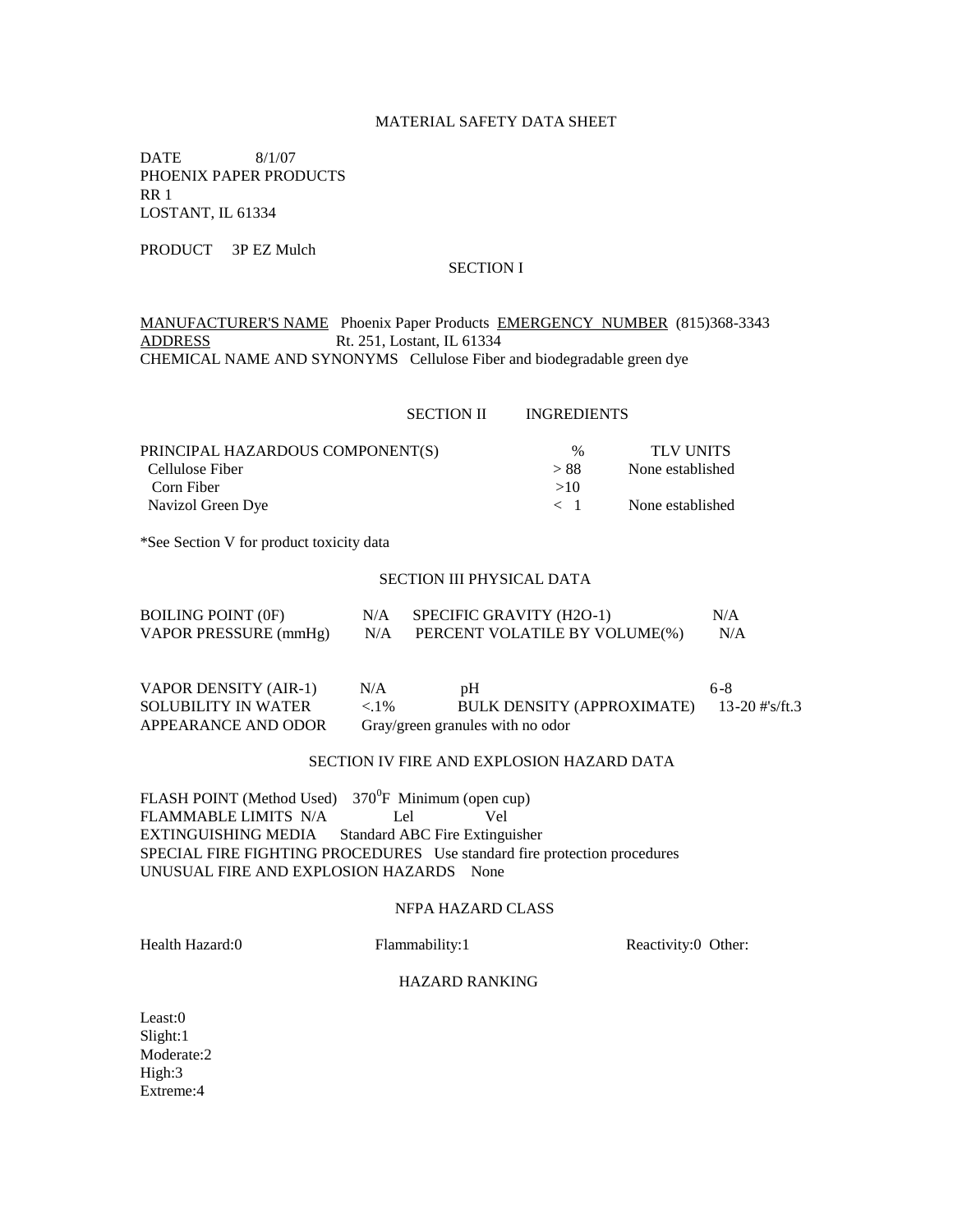# MATERIAL SAFETY DATA SHEET

DATE 8/1/07 PHOENIX PAPER PRODUCTS RR 1 LOSTANT, IL 61334

PRODUCT 3P EZ Mulch

## SECTION I

MANUFACTURER'S NAME Phoenix Paper Products EMERGENCY NUMBER (815)368-3343 ADDRESS Rt. 251, Lostant, IL 61334 CHEMICAL NAME AND SYNONYMS Cellulose Fiber and biodegradable green dye

#### SECTION II INGREDIENTS

| PRINCIPAL HAZARDOUS COMPONENT(S) | $\%$    | <b>TLV UNITS</b> |
|----------------------------------|---------|------------------|
| Cellulose Fiber                  | > 88    | None established |
| Corn Fiber                       | >10     |                  |
| Navizol Green Dye                | $\lt$ 1 | None established |

\*See Section V for product toxicity data

#### SECTION III PHYSICAL DATA

| <b>BOILING POINT (0F)</b> | N/A | SPECIFIC GRAVITY (H2O-1)      | N/A |
|---------------------------|-----|-------------------------------|-----|
| VAPOR PRESSURE (mmHg)     | N/A | PERCENT VOLATILE BY VOLUME(%) | N/A |

| VAPOR DENSITY (AIR-1)      | N/A     | pH                                        | 6-8 |
|----------------------------|---------|-------------------------------------------|-----|
| <b>SOLUBILITY IN WATER</b> | $< 1\%$ | BULK DENSITY (APPROXIMATE) 13-20 #'s/ft.3 |     |
| APPEARANCE AND ODOR        |         | Gray/green granules with no odor          |     |

# SECTION IV FIRE AND EXPLOSION HAZARD DATA

 $FLASH POINT$  (Method Used)  $370^0F$  Minimum (open cup) FLAMMABLE LIMITS N/A Lel Vel EXTINGUISHING MEDIA Standard ABC Fire Extinguisher SPECIAL FIRE FIGHTING PROCEDURES Use standard fire protection procedures UNUSUAL FIRE AND EXPLOSION HAZARDS None

#### NFPA HAZARD CLASS

Health Hazard:0 Flammability:1 Reactivity:0 Other:

### HAZARD RANKING

Least:0 Slight:1 Moderate:2 High:3 Extreme:4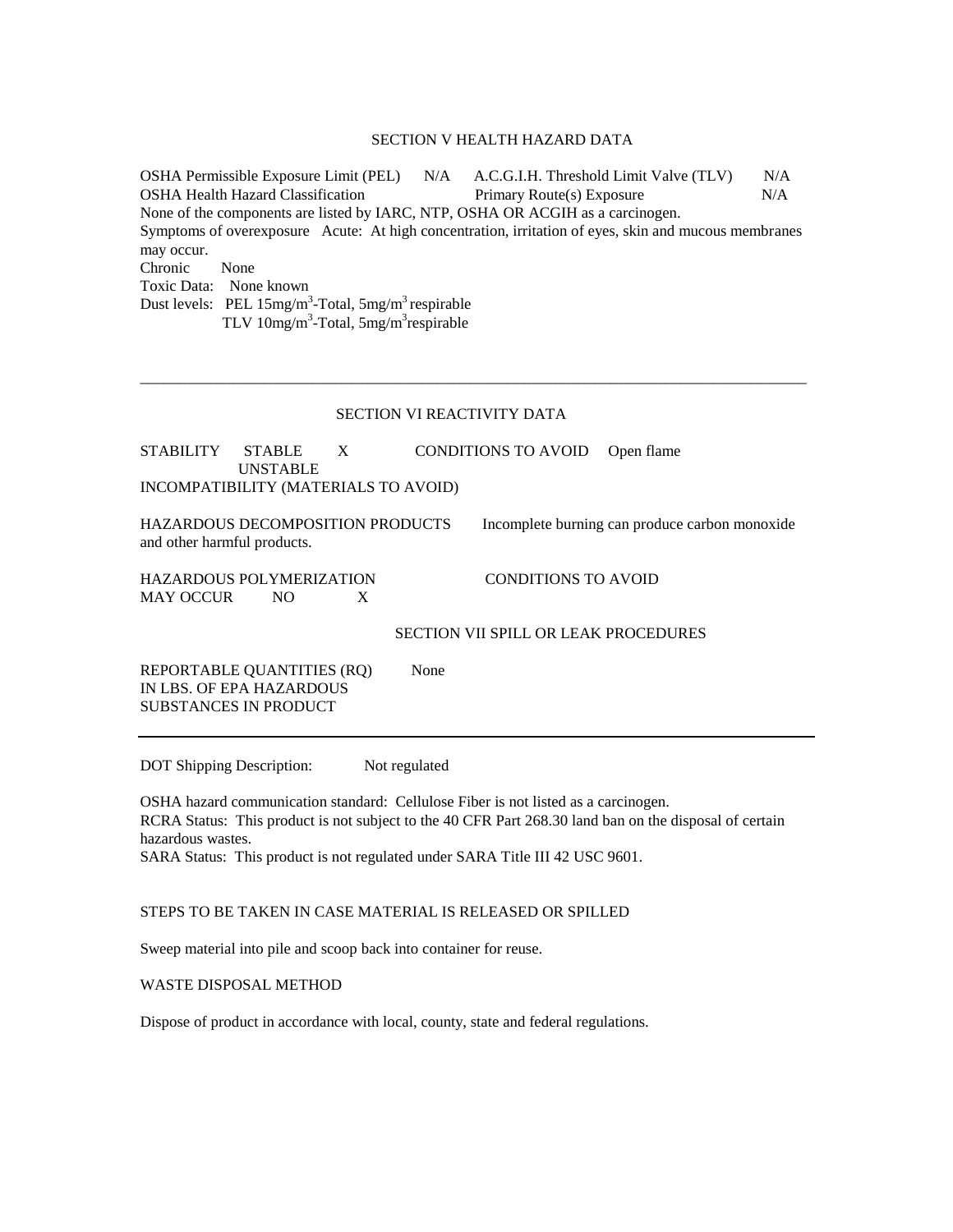### SECTION V HEALTH HAZARD DATA

OSHA Permissible Exposure Limit (PEL) N/A A.C.G.I.H. Threshold Limit Valve (TLV) N/A OSHA Health Hazard Classification Primary Route(s) Exposure N/A None of the components are listed by IARC, NTP, OSHA OR ACGIH as a carcinogen. Symptoms of overexposure Acute: At high concentration, irritation of eyes, skin and mucous membranes may occur. Chronic None Toxic Data: None known Dust levels: PEL  $15mg/m^3$ -Total,  $5mg/m^3$  respirable TLV 10mg/m<sup>3</sup>-Total, 5mg/m<sup>3</sup>respirable

#### SECTION VI REACTIVITY DATA

\_\_\_\_\_\_\_\_\_\_\_\_\_\_\_\_\_\_\_\_\_\_\_\_\_\_\_\_\_\_\_\_\_\_\_\_\_\_\_\_\_\_\_\_\_\_\_\_\_\_\_\_\_\_\_\_\_\_\_\_\_\_\_\_\_\_\_\_\_\_\_\_\_\_\_\_\_\_\_\_\_\_\_\_\_

STABILITY STABLE X CONDITIONS TO AVOID Open flame UNSTABLE INCOMPATIBILITY (MATERIALS TO AVOID)

and other harmful products.

HAZARDOUS DECOMPOSITION PRODUCTS Incomplete burning can produce carbon monoxide

HAZARDOUS POLYMERIZATION CONDITIONS TO AVOID MAY OCCUR NO X

SECTION VII SPILL OR LEAK PROCEDURES

REPORTABLE QUANTITIES (RQ) None IN LBS. OF EPA HAZARDOUS SUBSTANCES IN PRODUCT

DOT Shipping Description: Not regulated

OSHA hazard communication standard: Cellulose Fiber is not listed as a carcinogen. RCRA Status: This product is not subject to the 40 CFR Part 268.30 land ban on the disposal of certain hazardous wastes.

SARA Status: This product is not regulated under SARA Title III 42 USC 9601.

#### STEPS TO BE TAKEN IN CASE MATERIAL IS RELEASED OR SPILLED

Sweep material into pile and scoop back into container for reuse.

### WASTE DISPOSAL METHOD

Dispose of product in accordance with local, county, state and federal regulations.